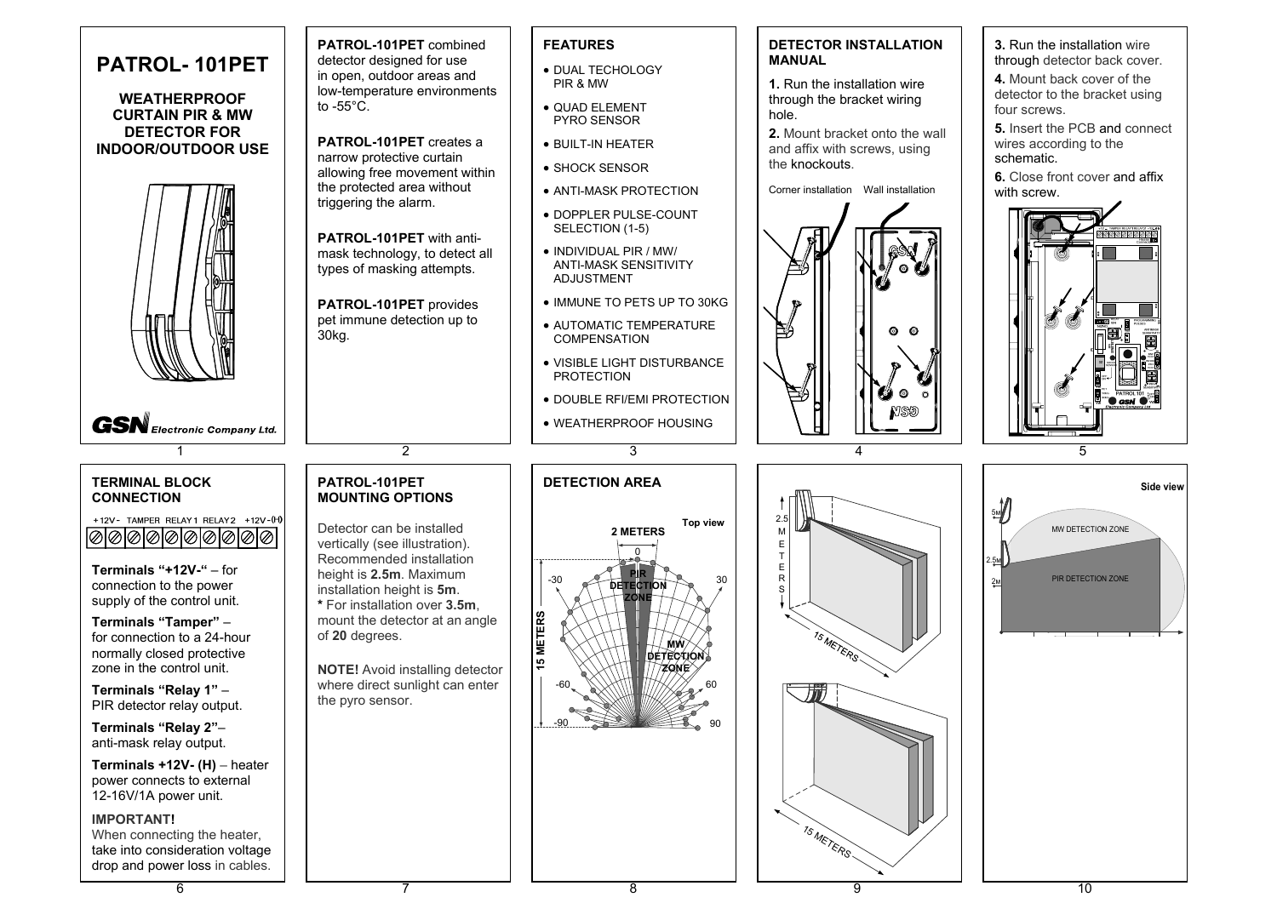